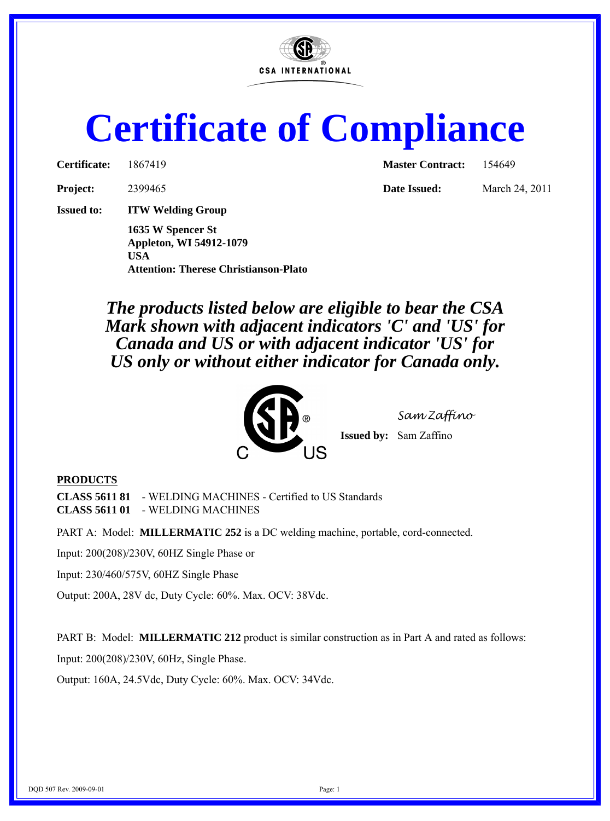

## **Certificate of Compliance**

| 186741 |
|--------|
|        |

**Project:** 2399465 **Date Issued:** March 24, 2011

**Issued to: ITW Welding Group**

**1635 W Spencer St Appleton, WI 54912-1079 USA Attention: Therese Christianson-Plato**

**Certificate:** 1867419 **Master Contract:** 154649

*The products listed below are eligible to bear the CSA Mark shown with adjacent indicators 'C' and 'US' for Canada and US or with adjacent indicator 'US' for US only or without either indicator for Canada only.*



*Sam Zaffino*

**Issued by:** Sam Zaffino

## **PRODUCTS**

**CLASS 5611 81** - WELDING MACHINES - Certified to US Standards **CLASS 5611 01** - WELDING MACHINES

PART A: Model: **MILLERMATIC 252** is a DC welding machine, portable, cord-connected.

Input: 200(208)/230V, 60HZ Single Phase or

Input: 230/460/575V, 60HZ Single Phase

Output: 200A, 28V dc, Duty Cycle: 60%. Max. OCV: 38Vdc.

PART B: Model: **MILLERMATIC 212** product is similar construction as in Part A and rated as follows:

Input: 200(208)/230V, 60Hz, Single Phase.

Output: 160A, 24.5Vdc, Duty Cycle: 60%. Max. OCV: 34Vdc.